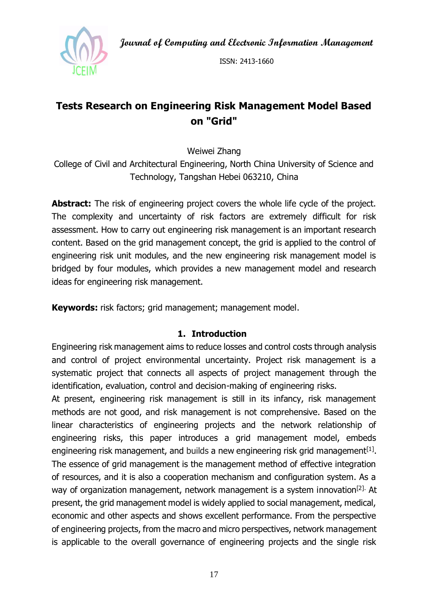**Journal of Computing and Electronic Information Management**



ISSN: 2413-1660

# **Tests Research on Engineering Risk Management Model Based on "Grid"**

Weiwei Zhang

College of Civil and Architectural Engineering, North China University of Science and Technology, Tangshan Hebei 063210, China

**Abstract:** The risk of engineering project covers the whole life cycle of the project. The complexity and uncertainty of risk factors are extremely difficult for risk assessment. How to carry out engineering risk management is an important research content. Based on the grid management concept, the grid is applied to the control of engineering risk unit modules, and the new engineering risk management model is bridged by four modules, which provides a new management model and research ideas for engineering risk management.

**Keywords:** risk factors; grid management; management model.

## **1. Introduction**

Engineering risk management aims to reduce losses and control costs through analysis and control of project environmental uncertainty. Project risk management is a systematic project that connects all aspects of project management through the identification, evaluation, control and decision-making of engineering risks.

At present, engineering risk management is still in its infancy, risk management methods are not good, and risk management is not comprehensive. Based on the linear characteristics of engineering projects and the network relationship of engineering risks, this paper introduces a grid management model, embeds engineering risk management, and builds a new engineering risk grid management<sup>[1]</sup>. The essence of grid management is the management method of effective integration of resources, and it is also a cooperation mechanism and configuration system. As a way of organization management, network management is a system innovation<sup>[2].</sup> At present, the grid management model is widely applied to social management, medical, economic and other aspects and shows excellent performance. From the perspective of engineering projects, from the macro and micro perspectives, network management is applicable to the overall governance of engineering projects and the single risk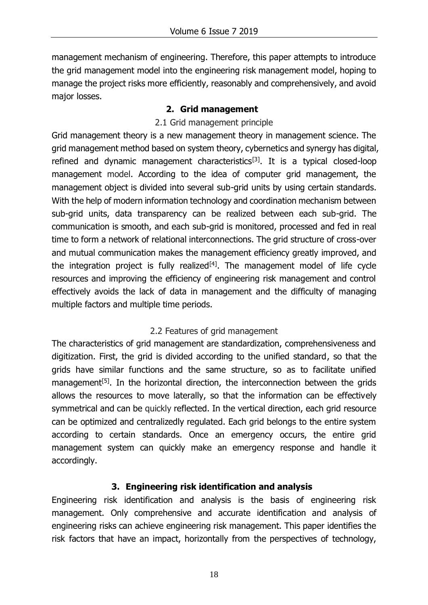management mechanism of engineering. Therefore, this paper attempts to introduce the grid management model into the engineering risk management model, hoping to manage the project risks more efficiently, reasonably and comprehensively, and avoid major losses.

#### **2. Grid management**

#### 2.1 Grid management principle

Grid management theory is a new management theory in management science. The grid management method based on system theory, cybernetics and synergy has digital, refined and dynamic management characteristics<sup>[3]</sup>. It is a typical closed-loop management model. According to the idea of computer grid management, the management object is divided into several sub-grid units by using certain standards. With the help of modern information technology and coordination mechanism between sub-grid units, data transparency can be realized between each sub-grid. The communication is smooth, and each sub-grid is monitored, processed and fed in real time to form a network of relational interconnections. The grid structure of cross-over and mutual communication makes the management efficiency greatly improved, and the integration project is fully realized<sup>[4]</sup>. The management model of life cycle resources and improving the efficiency of engineering risk management and control effectively avoids the lack of data in management and the difficulty of managing multiple factors and multiple time periods.

## 2.2 Features of grid management

The characteristics of grid management are standardization, comprehensiveness and digitization. First, the grid is divided according to the unified standard, so that the grids have similar functions and the same structure, so as to facilitate unified management<sup>[5]</sup>. In the horizontal direction, the interconnection between the grids allows the resources to move laterally, so that the information can be effectively symmetrical and can be quickly reflected. In the vertical direction, each grid resource can be optimized and centralizedly regulated. Each grid belongs to the entire system according to certain standards. Once an emergency occurs, the entire grid management system can quickly make an emergency response and handle it accordingly.

## **3. Engineering risk identification and analysis**

Engineering risk identification and analysis is the basis of engineering risk management. Only comprehensive and accurate identification and analysis of engineering risks can achieve engineering risk management. This paper identifies the risk factors that have an impact, horizontally from the perspectives of technology,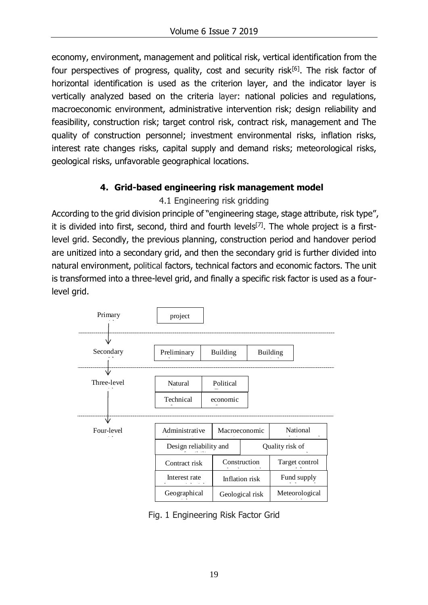economy, environment, management and political risk, vertical identification from the four perspectives of progress, quality, cost and security risk $[6]$ . The risk factor of horizontal identification is used as the criterion layer, and the indicator layer is vertically analyzed based on the criteria layer: national policies and regulations, macroeconomic environment, administrative intervention risk; design reliability and feasibility, construction risk; target control risk, contract risk, management and The quality of construction personnel; investment environmental risks, inflation risks, interest rate changes risks, capital supply and demand risks; meteorological risks, geological risks, unfavorable geographical locations.

## **4. Grid-based engineering risk management model**

## 4.1 Engineering risk gridding

According to the grid division principle of "engineering stage, stage attribute, risk type", it is divided into first, second, third and fourth levels<sup>[7]</sup>. The whole project is a firstlevel grid. Secondly, the previous planning, construction period and handover period are unitized into a secondary grid, and then the secondary grid is further divided into natural environment, political factors, technical factors and economic factors. The unit is transformed into a three-level grid, and finally a specific risk factor is used as a fourlevel grid.



Fig. 1 Engineering Risk Factor Grid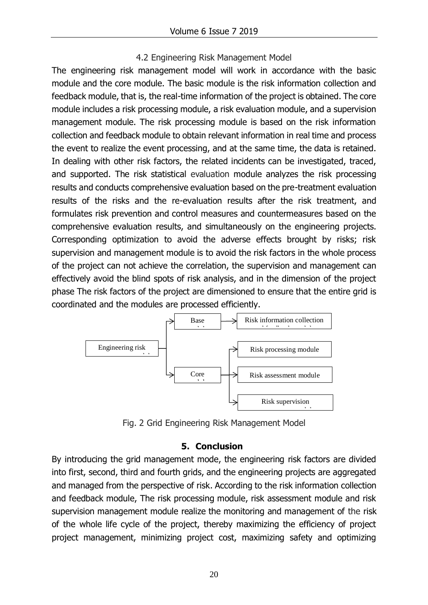#### 4.2 Engineering Risk Management Model

The engineering risk management model will work in accordance with the basic module and the core module. The basic module is the risk information collection and feedback module, that is, the real-time information of the project is obtained. The core module includes a risk processing module, a risk evaluation module, and a supervision management module. The risk processing module is based on the risk information collection and feedback module to obtain relevant information in real time and process the event to realize the event processing, and at the same time, the data is retained. In dealing with other risk factors, the related incidents can be investigated, traced, and supported. The risk statistical evaluation module analyzes the risk processing results and conducts comprehensive evaluation based on the pre-treatment evaluation results of the risks and the re-evaluation results after the risk treatment, and formulates risk prevention and control measures and countermeasures based on the comprehensive evaluation results, and simultaneously on the engineering projects. Corresponding optimization to avoid the adverse effects brought by risks; risk supervision and management module is to avoid the risk factors in the whole process of the project can not achieve the correlation, the supervision and management can effectively avoid the blind spots of risk analysis, and in the dimension of the project phase The risk factors of the project are dimensioned to ensure that the entire grid is coordinated and the modules are processed efficiently.



Fig. 2 Grid Engineering Risk Management Model

#### **5. Conclusion**

By introducing the grid management mode, the engineering risk factors are divided into first, second, third and fourth grids, and the engineering projects are aggregated and managed from the perspective of risk. According to the risk information collection and feedback module, The risk processing module, risk assessment module and risk supervision management module realize the monitoring and management of the risk of the whole life cycle of the project, thereby maximizing the efficiency of project project management, minimizing project cost, maximizing safety and optimizing